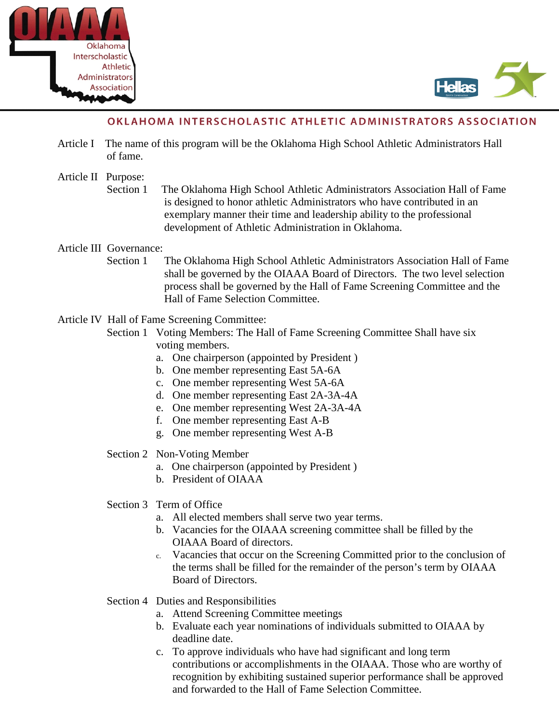



# OKLAHOMA INTERSCHOLASTIC ATHLETIC ADMINISTRATORS ASSOCIATION

- Article I The name of this program will be the Oklahoma High School Athletic Administrators Hall of fame.
- Article II Purpose:
	- Section 1 The Oklahoma High School Athletic Administrators Association Hall of Fame is designed to honor athletic Administrators who have contributed in an exemplary manner their time and leadership ability to the professional development of Athletic Administration in Oklahoma.

## Article III Governance:

- Section 1 The Oklahoma High School Athletic Administrators Association Hall of Fame shall be governed by the OIAAA Board of Directors. The two level selection process shall be governed by the Hall of Fame Screening Committee and the Hall of Fame Selection Committee.
- Article IV Hall of Fame Screening Committee:
	- Section 1 Voting Members: The Hall of Fame Screening Committee Shall have six voting members.
		- a. One chairperson (appointed by President )
		- b. One member representing East 5A-6A
		- c. One member representing West 5A-6A
		- d. One member representing East 2A-3A-4A
		- e. One member representing West 2A-3A-4A
		- f. One member representing East A-B
		- g. One member representing West A-B
	- Section 2 Non-Voting Member
		- a. One chairperson (appointed by President )
		- b. President of OIAAA
	- Section 3 Term of Office
		- a. All elected members shall serve two year terms.
		- b. Vacancies for the OIAAA screening committee shall be filled by the OIAAA Board of directors.
		- c. Vacancies that occur on the Screening Committed prior to the conclusion of the terms shall be filled for the remainder of the person's term by OIAAA Board of Directors.
	- Section 4 Duties and Responsibilities
		- a. Attend Screening Committee meetings
		- b. Evaluate each year nominations of individuals submitted to OIAAA by deadline date.
		- c. To approve individuals who have had significant and long term contributions or accomplishments in the OIAAA. Those who are worthy of recognition by exhibiting sustained superior performance shall be approved and forwarded to the Hall of Fame Selection Committee.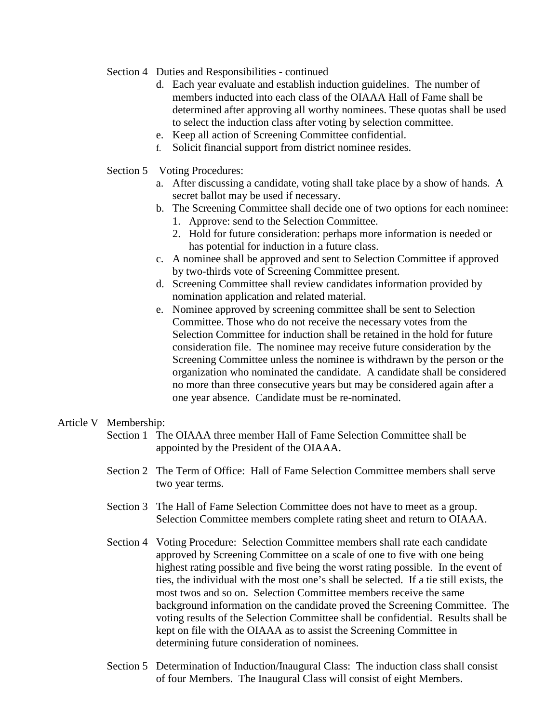- Section 4 Duties and Responsibilities continued
	- d. Each year evaluate and establish induction guidelines. The number of members inducted into each class of the OIAAA Hall of Fame shall be determined after approving all worthy nominees. These quotas shall be used to select the induction class after voting by selection committee.
	- e. Keep all action of Screening Committee confidential.
	- f. Solicit financial support from district nominee resides.
- Section 5 Voting Procedures:
	- a. After discussing a candidate, voting shall take place by a show of hands. A secret ballot may be used if necessary.
	- b. The Screening Committee shall decide one of two options for each nominee: 1. Approve: send to the Selection Committee.
		- 2. Hold for future consideration: perhaps more information is needed or has potential for induction in a future class.
	- c. A nominee shall be approved and sent to Selection Committee if approved by two-thirds vote of Screening Committee present.
	- d. Screening Committee shall review candidates information provided by nomination application and related material.
	- e. Nominee approved by screening committee shall be sent to Selection Committee. Those who do not receive the necessary votes from the Selection Committee for induction shall be retained in the hold for future consideration file. The nominee may receive future consideration by the Screening Committee unless the nominee is withdrawn by the person or the organization who nominated the candidate. A candidate shall be considered no more than three consecutive years but may be considered again after a one year absence. Candidate must be re-nominated.

## Article V Membership:

- Section 1 The OIAAA three member Hall of Fame Selection Committee shall be appointed by the President of the OIAAA.
- Section 2 The Term of Office: Hall of Fame Selection Committee members shall serve two year terms.
- Section 3 The Hall of Fame Selection Committee does not have to meet as a group. Selection Committee members complete rating sheet and return to OIAAA.
- Section 4 Voting Procedure: Selection Committee members shall rate each candidate approved by Screening Committee on a scale of one to five with one being highest rating possible and five being the worst rating possible. In the event of ties, the individual with the most one's shall be selected. If a tie still exists, the most twos and so on. Selection Committee members receive the same background information on the candidate proved the Screening Committee. The voting results of the Selection Committee shall be confidential. Results shall be kept on file with the OIAAA as to assist the Screening Committee in determining future consideration of nominees.
- Section 5 Determination of Induction/Inaugural Class: The induction class shall consist of four Members. The Inaugural Class will consist of eight Members.